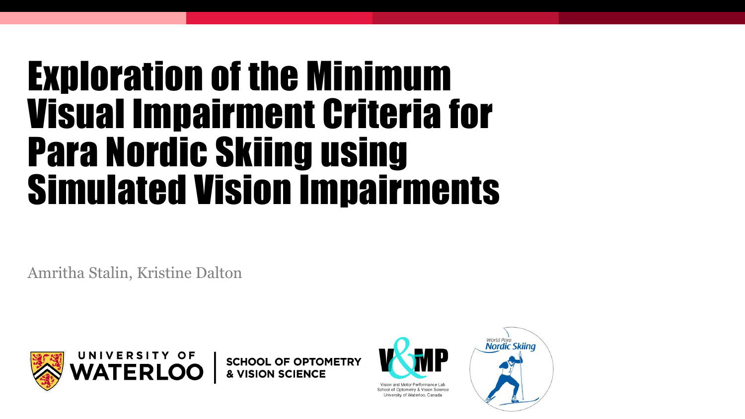# Exploration of the Minimum Visual Impairment Criteria for Para Nordic Skiing using Simulated Vision Impairments

Amritha Stalin, Kristine Dalton



**SCHOOL OF OPTOMETRY & VISION SCIENCE** 



School of Optometry & Vision Science University of Waterloo, Canada

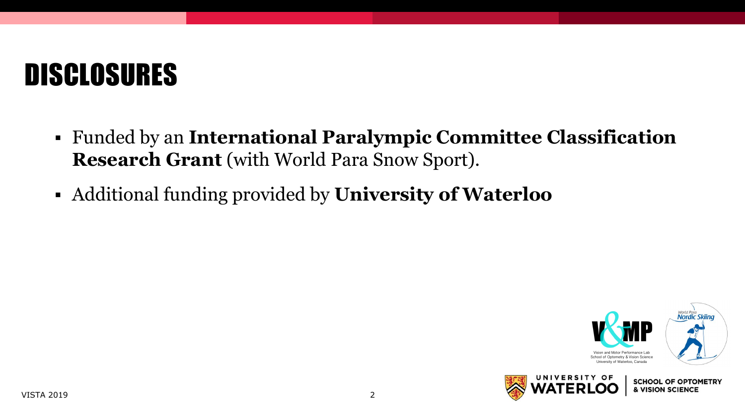# DISCLOSURES

- Funded by an **International Paralympic Committee Classification Research Grant** (with World Para Snow Sport).
- Additional funding provided by **University of Waterloo**



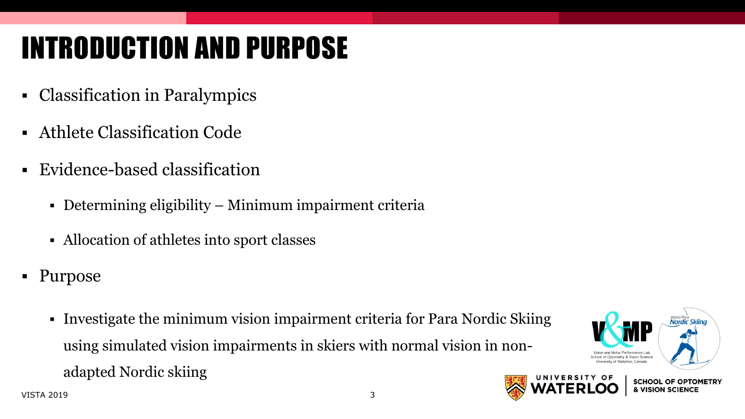# INTRODUCTION AND PURPOSE

- Classification in Paralympics
- Athlete Classification Code
- Evidence-based classification
	- Determining eligibility Minimum impairment criteria
	- Allocation of athletes into sport classes
- Purpose
	- Investigate the minimum vision impairment criteria for Para Nordic Skiing using simulated vision impairments in skiers with normal vision in nonadapted Nordic skiing



**SCHOOL OF OPTOMETRY VISION SCIENC** 

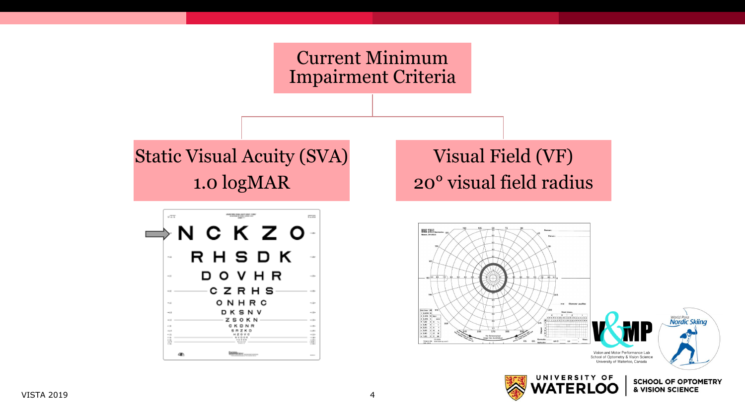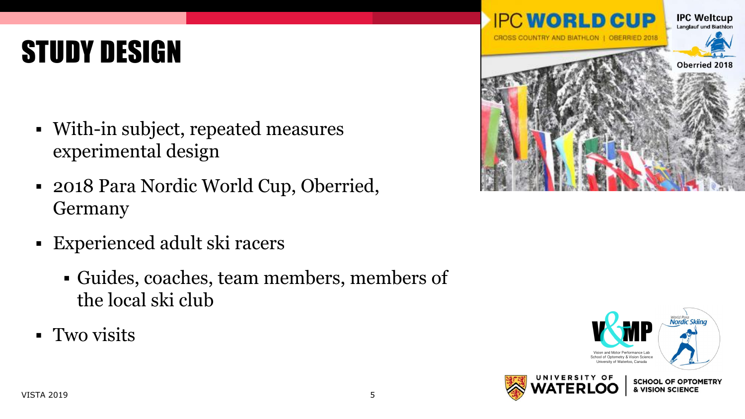# STUDY DESIGN

- With-in subject, repeated measures experimental design
- 2018 Para Nordic World Cup, Oberried, Germany
- Experienced adult ski racers
	- Guides, coaches, team members, members of the local ski club
- **Two visits**



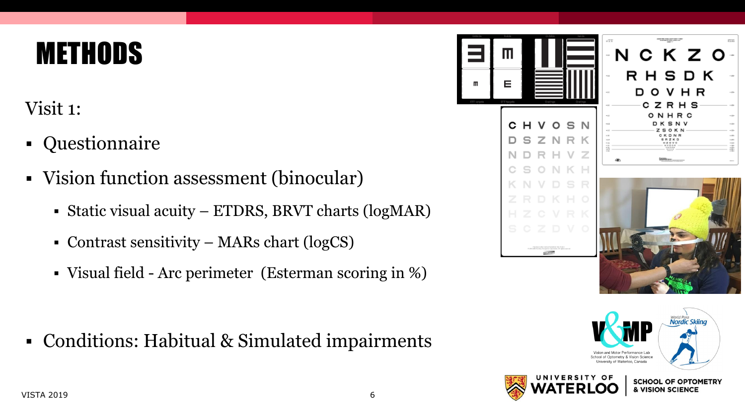## **METHODS**

Visit 1:

- Questionnaire
- Vision function assessment (binocular)
	- Static visual acuity ETDRS, BRVT charts (logMAR)
	- Contrast sensitivity MARs chart (logCS)
	- Visual field Arc perimeter (Esterman scoring in %)

▪ Conditions: Habitual & Simulated impairments





**& VISION SCIENCE**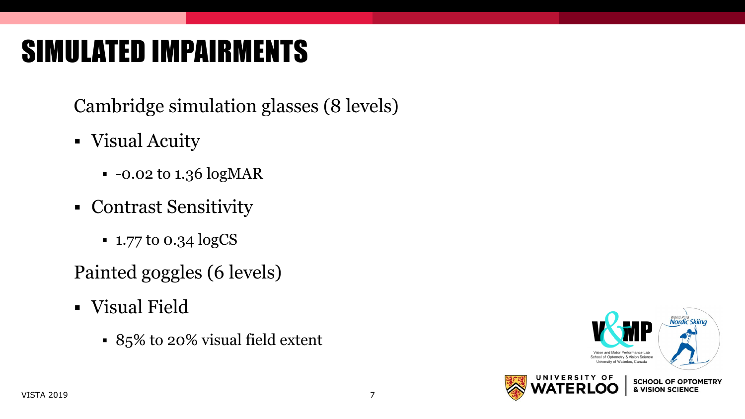# SIMULATED IMPAIRMENTS

Cambridge simulation glasses (8 levels)

- Visual Acuity
	- $\cdot$  -0.02 to 1.36 logMAR
- Contrast Sensitivity
	- 1.77 to 0.34 logCS
- Painted goggles (6 levels)
- Visual Field
	- 85% to 20% visual field extent

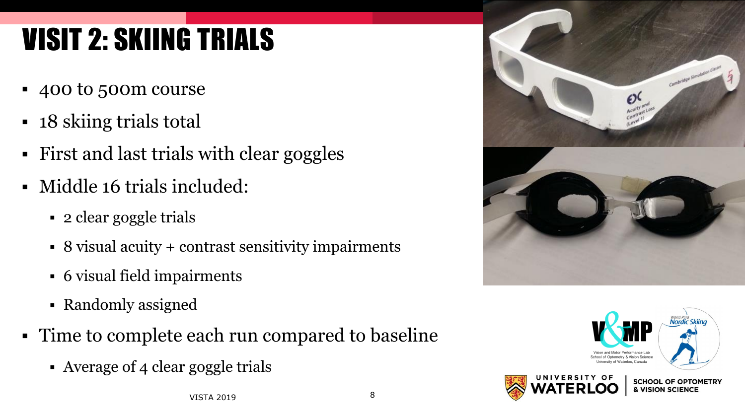# VISIT 2: SKIING TRIALS

- 400 to 500m course
- 18 skiing trials total
- First and last trials with clear goggles
- Middle 16 trials included:
	- 2 clear goggle trials
	- 8 visual acuity + contrast sensitivity impairments
	- 6 visual field impairments
	- Randomly assigned
- Time to complete each run compared to baseline
	- Average of 4 clear goggle trials



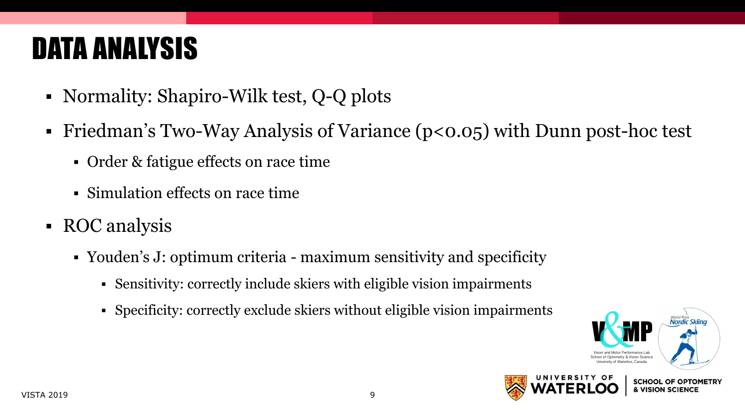# DATA ANALYSIS

- Normality: Shapiro-Wilk test, Q-Q plots
- Friedman's Two-Way Analysis of Variance (p<0.05) with Dunn post-hoc test
	- Order & fatigue effects on race time
	- Simulation effects on race time
- ROC analysis
	- Youden's J: optimum criteria maximum sensitivity and specificity
		- Sensitivity: correctly include skiers with eligible vision impairments
		- Specificity: correctly exclude skiers without eligible vision impairments



**VISION SCIENC** 

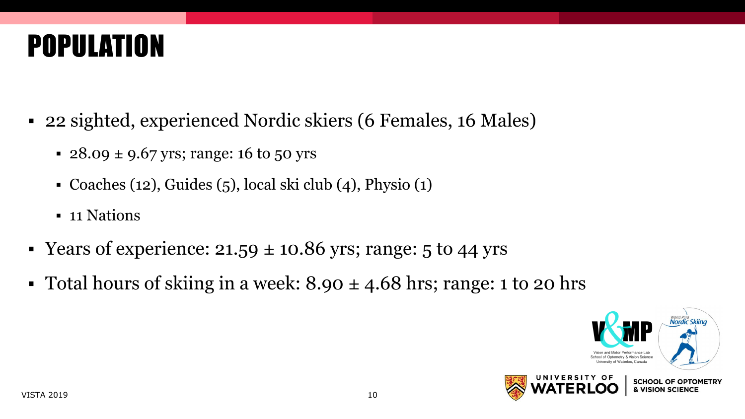# POPULATION

- 22 sighted, experienced Nordic skiers (6 Females, 16 Males)
	- $\cdot$  28.09  $\pm$  9.67 yrs; range: 16 to 50 yrs
	- Coaches (12), Guides (5), local ski club (4), Physio (1)
	- **•** 11 Nations
- Years of experience:  $21.59 \pm 10.86$  yrs; range: 5 to 44 yrs
- Total hours of skiing in a week:  $8.90 \pm 4.68$  hrs; range: 1 to 20 hrs

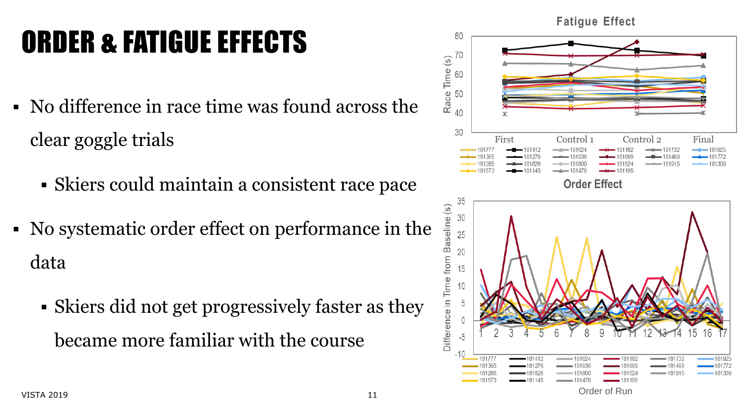# ORDER & FATIGUE EFFECTS

- No difference in race time was found across the clear goggle trials
	- Skiers could maintain a consistent race pace
- No systematic order effect on performance in the data
	- Skiers did not get progressively faster as they became more familiar with the course

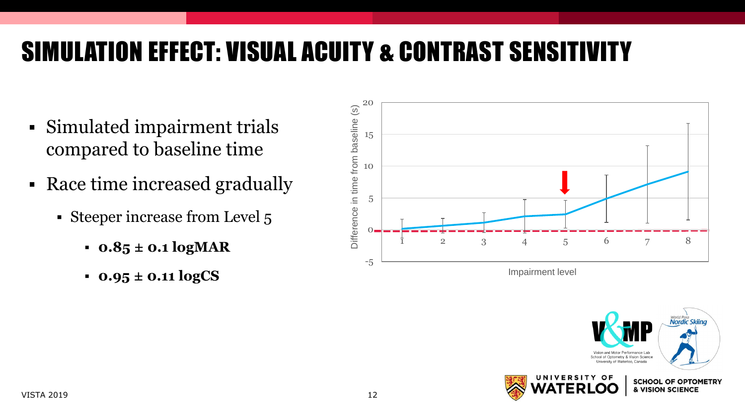## SIMULATION EFFECT: VISUAL ACUITY & CONTRAST SENSITIVITY

- Simulated impairment trials compared to baseline time
- Race time increased gradually
	- Steeper increase from Level 5
		- **0.85 ± 0.1 logMAR**
		- **0.95 ± 0.11 logCS**



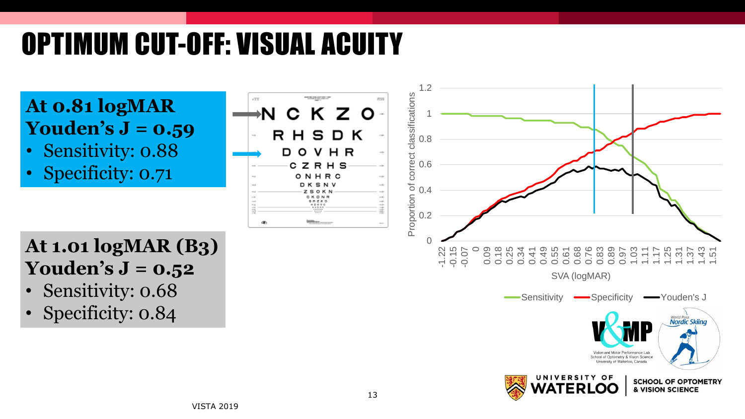# OPTIMUM CUT-OFF: VISUAL ACUITY



**ATERIOO** 

**& VISION SCIENCE**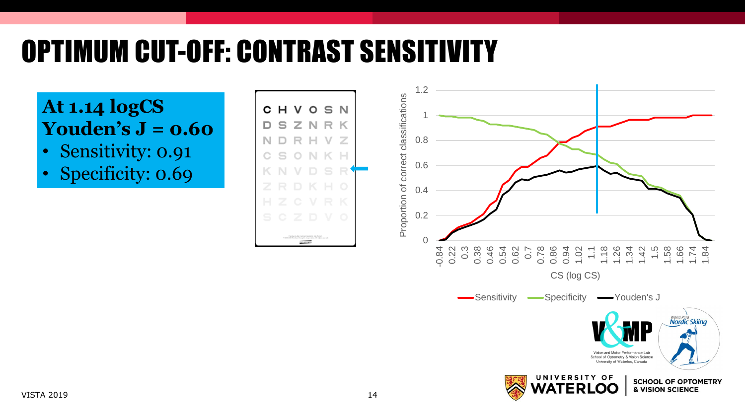# OPTIMUM CUT-OFF: CONTRAST SENSITIVITY

C

D

N

н

s

### **At 1.14 logCS Youden's J = 0.60**

- Sensitivity: 0.91
- Specificity: 0.69

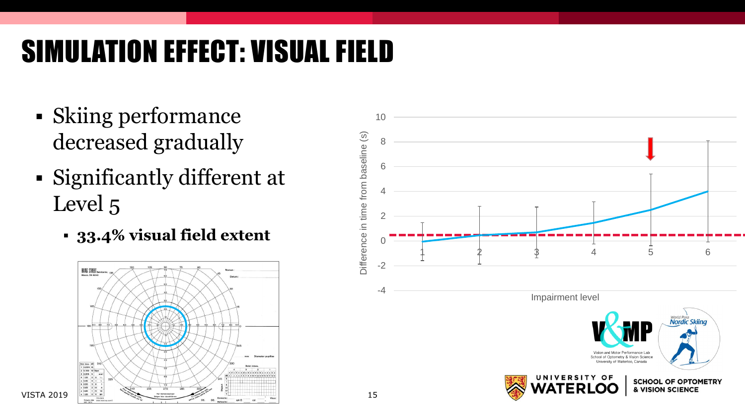# SIMULATION EFFECT: VISUAL FIELD

- Skiing performance decreased gradually
- Significantly different at Level 5
	- **33.4% visual field extent**



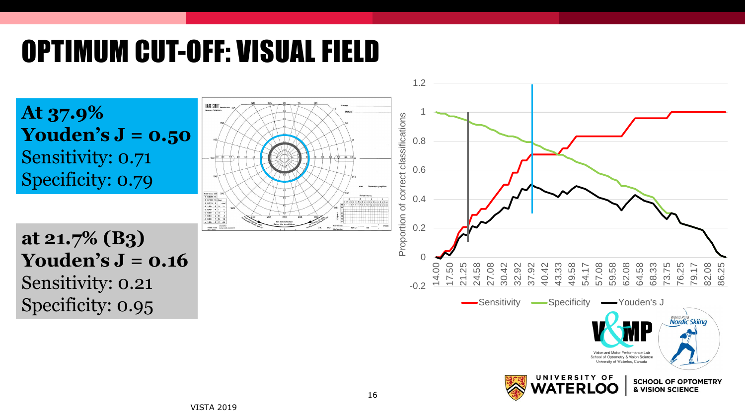# OPTIMUM CUT-OFF: VISUAL FIELD

**At 37.9% Youden's J = 0.50**  Sensitivity: 0.71 Specificity: 0.79

**at 21.7% (B3) Youden's J = 0.16**  Sensitivity: 0.21 Specificity: 0.95

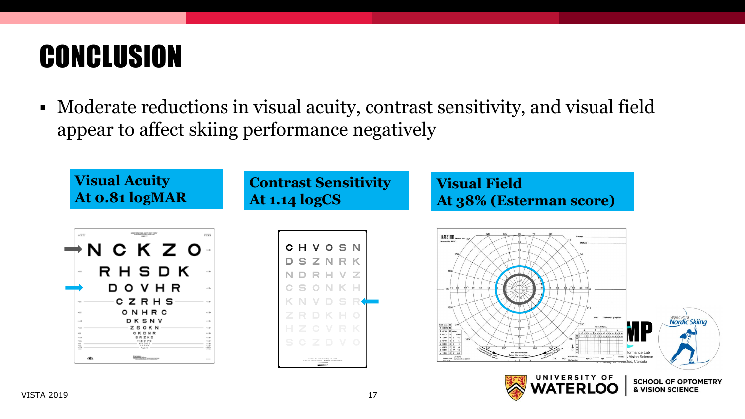# **CONCLUSION**

▪ Moderate reductions in visual acuity, contrast sensitivity, and visual field appear to affect skiing performance negatively

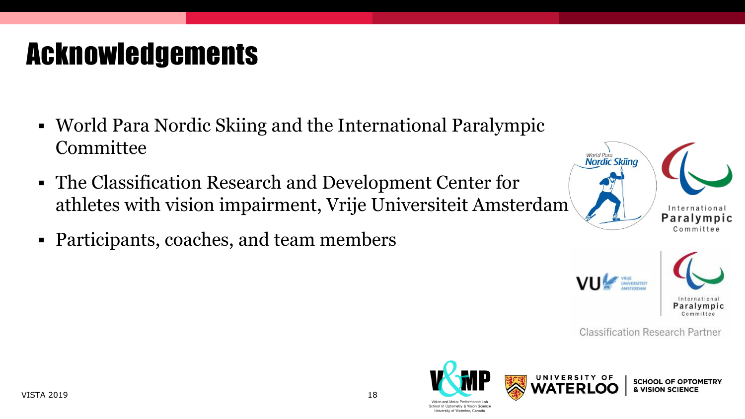#### VISTA 2019 18

## Acknowledgements

- World Para Nordic Skiing and the International Paralympic **Committee**
- The Classification Research and Development Center for athletes with vision impairment, Vrije Universiteit Amsterdam
- Participants, coaches, and team members





**Classification Research Partner** 







CHOOL OF OPTOMETRY **VISION SCIENCI**